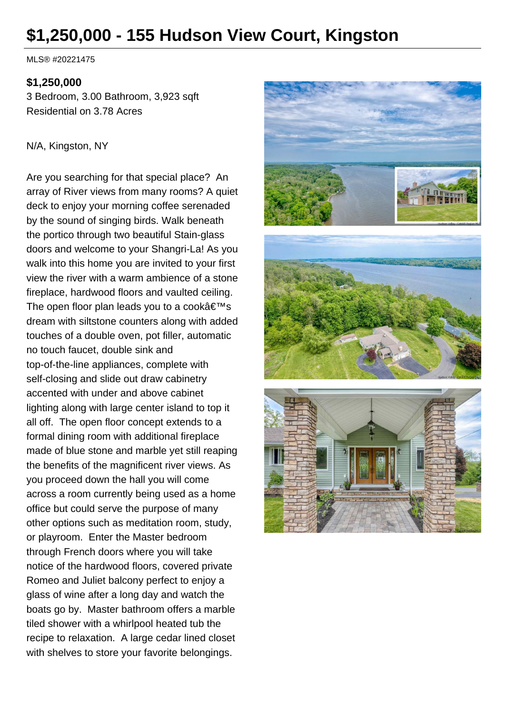# **\$1,250,000 - 155 Hudson View Court, Kingston**

MLS® #20221475

#### **\$1,250,000**

3 Bedroom, 3.00 Bathroom, 3,923 sqft Residential on 3.78 Acres

#### N/A, Kingston, NY

Are you searching for that special place? An array of River views from many rooms? A quiet deck to enjoy your morning coffee serenaded by the sound of singing birds. Walk beneath the portico through two beautiful Stain-glass doors and welcome to your Shangri-La! As you walk into this home you are invited to your first view the river with a warm ambience of a stone fireplace, hardwood floors and vaulted ceiling. The open floor plan leads you to a cook $\hat{a} \in T^M s$ dream with siltstone counters along with added touches of a double oven, pot filler, automatic no touch faucet, double sink and top-of-the-line appliances, complete with self-closing and slide out draw cabinetry accented with under and above cabinet lighting along with large center island to top it all off. The open floor concept extends to a formal dining room with additional fireplace made of blue stone and marble yet still reaping the benefits of the magnificent river views. As you proceed down the hall you will come across a room currently being used as a home office but could serve the purpose of many other options such as meditation room, study, or playroom. Enter the Master bedroom through French doors where you will take notice of the hardwood floors, covered private Romeo and Juliet balcony perfect to enjoy a glass of wine after a long day and watch the boats go by. Master bathroom offers a marble tiled shower with a whirlpool heated tub the recipe to relaxation. A large cedar lined closet with shelves to store your favorite belongings.

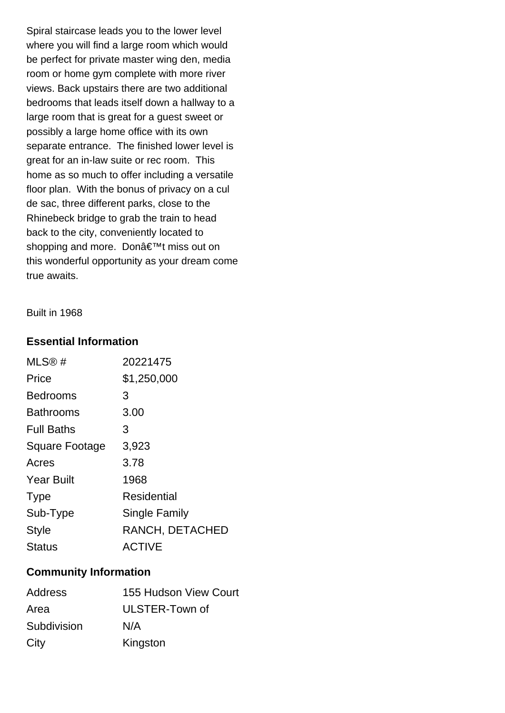Spiral staircase leads you to the lower level where you will find a large room which would be perfect for private master wing den, media room or home gym complete with more river views. Back upstairs there are two additional bedrooms that leads itself down a hallway to a large room that is great for a guest sweet or possibly a large home office with its own separate entrance. The finished lower level is great for an in-law suite or rec room. This home as so much to offer including a versatile floor plan. With the bonus of privacy on a cul de sac, three different parks, close to the Rhinebeck bridge to grab the train to head back to the city, conveniently located to shopping and more. Don't miss out on this wonderful opportunity as your dream come true awaits.

#### Built in 1968

#### **Essential Information**

| MLS@#                 | 20221475        |
|-----------------------|-----------------|
| Price                 | \$1,250,000     |
| Bedrooms              | 3               |
| <b>Bathrooms</b>      | 3.00            |
| <b>Full Baths</b>     | З               |
| <b>Square Footage</b> | 3,923           |
| Acres                 | 3.78            |
| <b>Year Built</b>     | 1968            |
| <b>Type</b>           | Residential     |
| Sub-Type              | Single Family   |
| <b>Style</b>          | RANCH, DETACHED |
| <b>Status</b>         | <b>ACTIVE</b>   |

#### **Community Information**

| <b>Address</b> | 155 Hudson View Court |
|----------------|-----------------------|
| Area           | ULSTER-Town of        |
| Subdivision    | N/A                   |
| City           | Kingston              |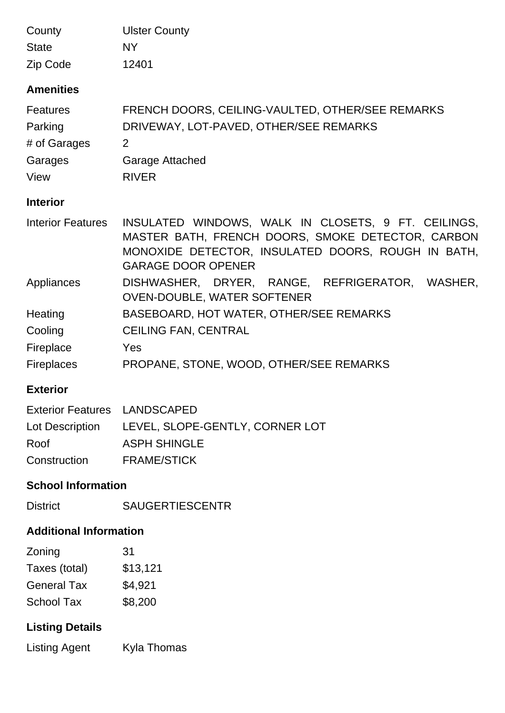| County                              | <b>Ulster County</b>                                                                                                                                                                        |  |  |
|-------------------------------------|---------------------------------------------------------------------------------------------------------------------------------------------------------------------------------------------|--|--|
| <b>State</b>                        | <b>NY</b>                                                                                                                                                                                   |  |  |
| Zip Code                            | 12401                                                                                                                                                                                       |  |  |
| <b>Amenities</b>                    |                                                                                                                                                                                             |  |  |
| <b>Features</b>                     | FRENCH DOORS, CEILING-VAULTED, OTHER/SEE REMARKS                                                                                                                                            |  |  |
| Parking                             | DRIVEWAY, LOT-PAVED, OTHER/SEE REMARKS                                                                                                                                                      |  |  |
| # of Garages                        | 2                                                                                                                                                                                           |  |  |
| Garages                             | <b>Garage Attached</b>                                                                                                                                                                      |  |  |
| View                                | <b>RIVER</b>                                                                                                                                                                                |  |  |
| <b>Interior</b>                     |                                                                                                                                                                                             |  |  |
| <b>Interior Features</b>            | INSULATED WINDOWS, WALK IN CLOSETS, 9 FT. CEILINGS,<br>MASTER BATH, FRENCH DOORS, SMOKE DETECTOR, CARBON<br>MONOXIDE DETECTOR, INSULATED DOORS, ROUGH IN BATH,<br><b>GARAGE DOOR OPENER</b> |  |  |
| Appliances                          | DISHWASHER, DRYER, RANGE, REFRIGERATOR, WASHER,<br><b>OVEN-DOUBLE, WATER SOFTENER</b>                                                                                                       |  |  |
| Heating                             | BASEBOARD, HOT WATER, OTHER/SEE REMARKS                                                                                                                                                     |  |  |
| Cooling                             | <b>CEILING FAN, CENTRAL</b>                                                                                                                                                                 |  |  |
| Fireplace                           | Yes                                                                                                                                                                                         |  |  |
| <b>Fireplaces</b>                   | PROPANE, STONE, WOOD, OTHER/SEE REMARKS                                                                                                                                                     |  |  |
| <b>Exterior</b>                     |                                                                                                                                                                                             |  |  |
| <b>Exterior Features LANDSCAPED</b> |                                                                                                                                                                                             |  |  |
| Lot Description                     | LEVEL, SLOPE-GENTLY, CORNER LOT                                                                                                                                                             |  |  |
| Roof                                | <b>ASPH SHINGLE</b>                                                                                                                                                                         |  |  |

## **School Information**

Construction FRAME/STICK

## **Additional Information**

| Zoning             | 31       |
|--------------------|----------|
| Taxes (total)      | \$13,121 |
| <b>General Tax</b> | \$4,921  |
| <b>School Tax</b>  | \$8,200  |

## **Listing Details**

Listing Agent Kyla Thomas